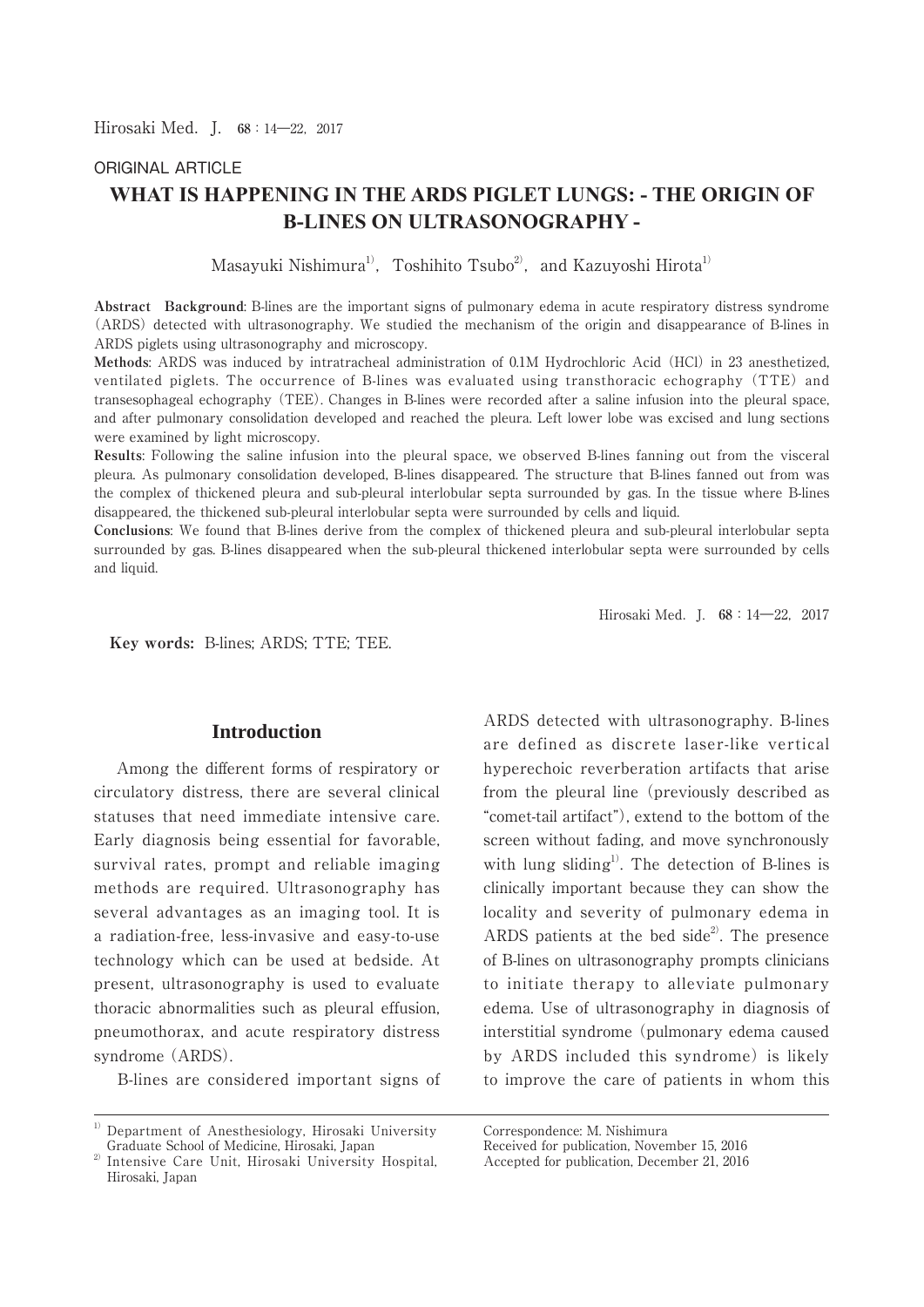# ORIGINAL ARTICLE **WHAT IS HAPPENING IN THE ARDS PIGLET LUNGS: - THE ORIGIN OF B-LINES ON ULTRASONOGRAPHY -**

Masayuki Nishimura<sup>1)</sup>, Toshihito Tsubo<sup>2</sup>, and Kazuyoshi Hirota<sup>1)</sup>

**Abstract Background**: B-lines are the important signs of pulmonary edema in acute respiratory distress syndrome (ARDS) detected with ultrasonography. We studied the mechanism of the origin and disappearance of B-lines in ARDS piglets using ultrasonography and microscopy.

**Methods**: ARDS was induced by intratracheal administration of 0.1M Hydrochloric Acid (HCl) in 23 anesthetized, ventilated piglets. The occurrence of B-lines was evaluated using transthoracic echography (TTE) and transesophageal echography (TEE). Changes in B-lines were recorded after a saline infusion into the pleural space, and after pulmonary consolidation developed and reached the pleura. Left lower lobe was excised and lung sections were examined by light microscopy.

**Results**: Following the saline infusion into the pleural space, we observed B-lines fanning out from the visceral pleura. As pulmonary consolidation developed, B-lines disappeared. The structure that B-lines fanned out from was the complex of thickened pleura and sub-pleural interlobular septa surrounded by gas. In the tissue where B-lines disappeared, the thickened sub-pleural interlobular septa were surrounded by cells and liquid.

**Conclusions**: We found that B-lines derive from the complex of thickened pleura and sub-pleural interlobular septa surrounded by gas. B-lines disappeared when the sub-pleural thickened interlobular septa were surrounded by cells and liquid.

Hirosaki Med.J. **68**:14―22,2017

 **Key words:** B-lines; ARDS; TTE; TEE.

## **Introduction**

 Among the different forms of respiratory or circulatory distress, there are several clinical statuses that need immediate intensive care. Early diagnosis being essential for favorable, survival rates, prompt and reliable imaging methods are required. Ultrasonography has several advantages as an imaging tool. It is a radiation-free, less-invasive and easy-to-use technology which can be used at bedside. At present, ultrasonography is used to evaluate thoracic abnormalities such as pleural effusion, pneumothorax, and acute respiratory distress syndrome (ARDS).

B-lines are considered important signs of

ARDS detected with ultrasonography. B-lines are defined as discrete laser-like vertical hyperechoic reverberation artifacts that arise from the pleural line (previously described as "comet-tail artifact"), extend to the bottom of the screen without fading, and move synchronously with lung sliding<sup>1)</sup>. The detection of B-lines is clinically important because they can show the locality and severity of pulmonary edema in ARDS patients at the bed side<sup>2</sup>. The presence of B-lines on ultrasonography prompts clinicians to initiate therapy to alleviate pulmonary edema. Use of ultrasonography in diagnosis of interstitial syndrome (pulmonary edema caused by ARDS included this syndrome) is likely to improve the care of patients in whom this

<sup>1)</sup> Department of Anesthesiology, Hirosaki University Graduate School of Medicine, Hirosaki, Japan

<sup>2)</sup> Intensive Care Unit, Hirosaki University Hospital, Hirosaki, Japan

Correspondence: M. Nishimura

Received for publication, November 15, 2016

Accepted for publication, December 21, 2016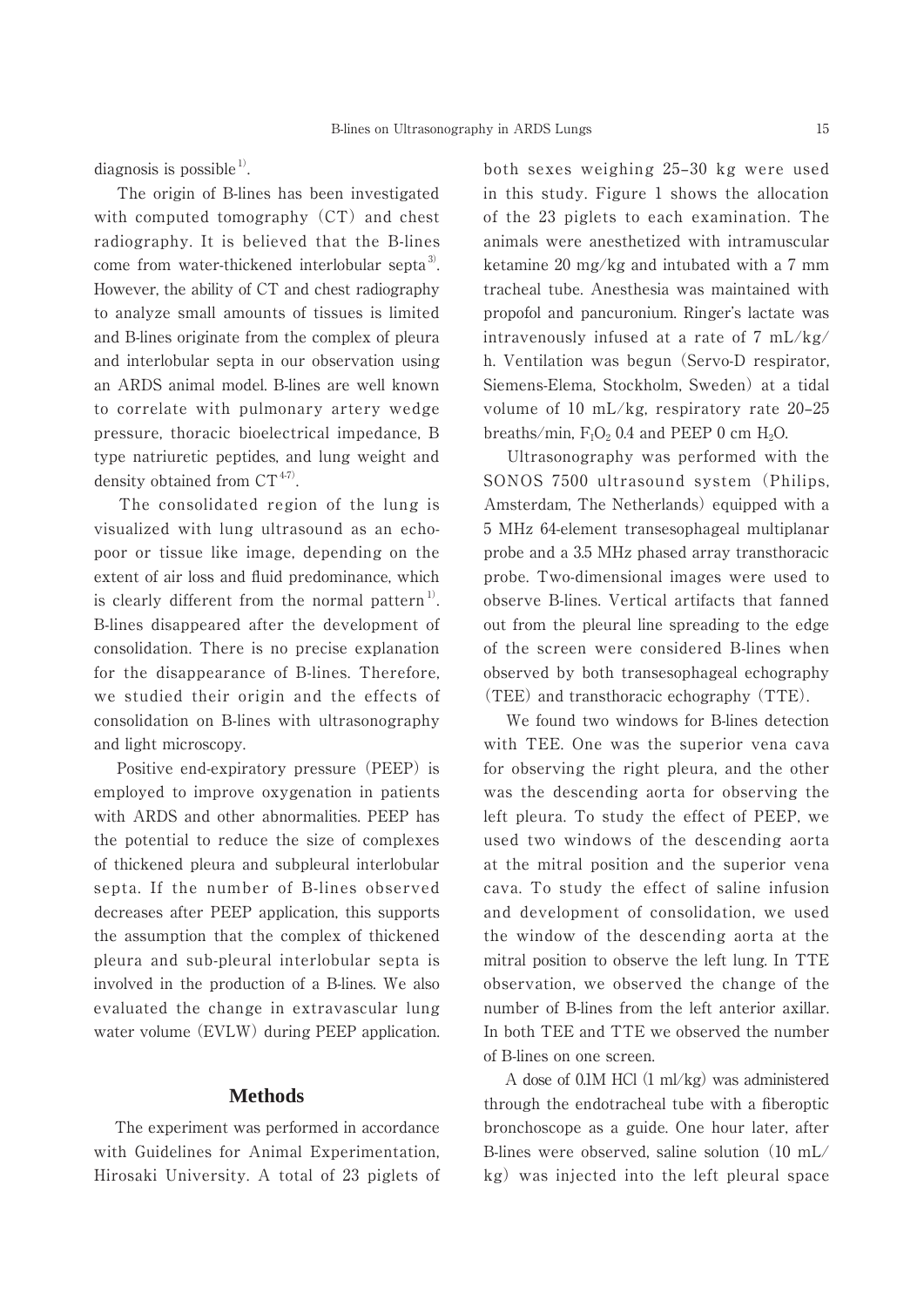diagnosis is possible  $^{1)}$ .

 The origin of B-lines has been investigated with computed tomography  $(CT)$  and chest radiography. It is believed that the B-lines come from water-thickened interlobular septa<sup>3)</sup>. However, the ability of CT and chest radiography to analyze small amounts of tissues is limited and B-lines originate from the complex of pleura and interlobular septa in our observation using an ARDS animal model. B-lines are well known to correlate with pulmonary artery wedge pressure, thoracic bioelectrical impedance, B type natriuretic peptides, and lung weight and density obtained from  $CT^{47}$ .

 The consolidated region of the lung is visualized with lung ultrasound as an echopoor or tissue like image, depending on the extent of air loss and fluid predominance, which is clearly different from the normal pattern<sup>1)</sup>. B-lines disappeared after the development of consolidation. There is no precise explanation for the disappearance of B-lines. Therefore, we studied their origin and the effects of consolidation on B-lines with ultrasonography and light microscopy.

 Positive end-expiratory pressure (PEEP) is employed to improve oxygenation in patients with ARDS and other abnormalities. PEEP has the potential to reduce the size of complexes of thickened pleura and subpleural interlobular septa. If the number of B-lines observed decreases after PEEP application, this supports the assumption that the complex of thickened pleura and sub-pleural interlobular septa is involved in the production of a B-lines. We also evaluated the change in extravascular lung water volume (EVLW) during PEEP application.

## **Methods**

 The experiment was performed in accordance with Guidelines for Animal Experimentation, Hirosaki University. A total of 23 piglets of both sexes weighing 25‒30 kg were used in this study. Figure 1 shows the allocation of the 23 piglets to each examination. The animals were anesthetized with intramuscular ketamine 20 mg/kg and intubated with a 7 mm tracheal tube. Anesthesia was maintained with propofol and pancuronium. Ringer's lactate was intravenously infused at a rate of 7 mL/kg/ h. Ventilation was begun (Servo-D respirator, Siemens-Elema, Stockholm, Sweden) at a tidal volume of 10 mL/kg, respiratory rate  $20-25$ breaths/min,  $F_1O_2$  0.4 and PEEP 0 cm  $H_2O$ .

 Ultrasonography was performed with the SONOS 7500 ultrasound system (Philips, Amsterdam, The Netherlands) equipped with a 5 MHz 64-element transesophageal multiplanar probe and a 3.5 MHz phased array transthoracic probe. Two-dimensional images were used to observe B-lines. Vertical artifacts that fanned out from the pleural line spreading to the edge of the screen were considered B-lines when observed by both transesophageal echography (TEE) and transthoracic echography (TTE).

 We found two windows for B-lines detection with TEE. One was the superior vena cava for observing the right pleura, and the other was the descending aorta for observing the left pleura. To study the effect of PEEP, we used two windows of the descending aorta at the mitral position and the superior vena cava. To study the effect of saline infusion and development of consolidation, we used the window of the descending aorta at the mitral position to observe the left lung. In TTE observation, we observed the change of the number of B-lines from the left anterior axillar. In both TEE and TTE we observed the number of B-lines on one screen.

 A dose of 0.1M HCl (1 ml/kg) was administered through the endotracheal tube with a fiberoptic bronchoscope as a guide. One hour later, after B-lines were observed, saline solution (10 mL/ kg) was injected into the left pleural space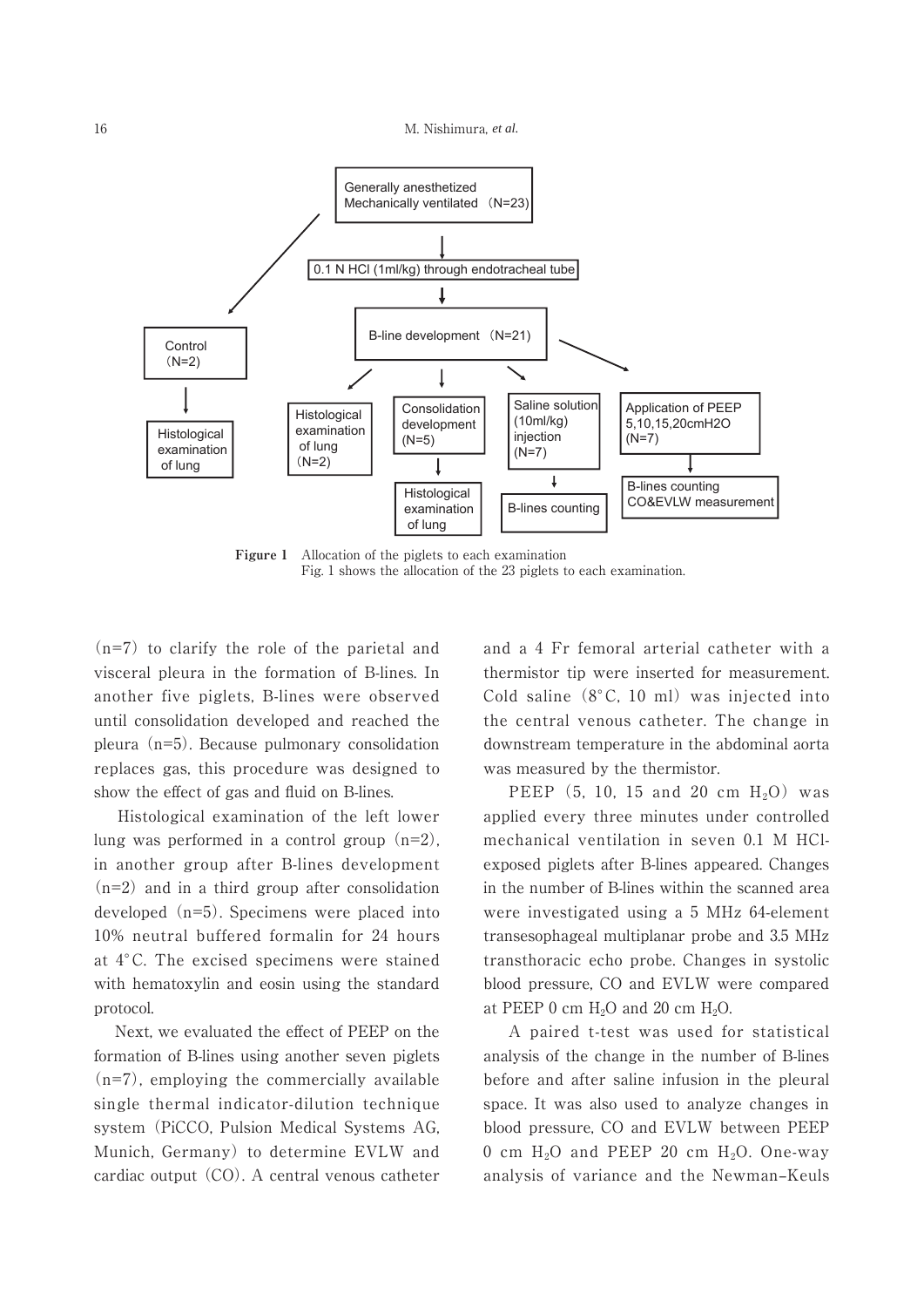

**Figure 1** Allocation of the piglets to each examination Fig. 1 shows the allocation of the 23 piglets to each examination.

(n=7) to clarify the role of the parietal and visceral pleura in the formation of B-lines. In another five piglets, B-lines were observed until consolidation developed and reached the pleura (n=5). Because pulmonary consolidation replaces gas, this procedure was designed to show the effect of gas and fluid on B-lines.

 Histological examination of the left lower lung was performed in a control group  $(n=2)$ , in another group after B-lines development  $(n=2)$  and in a third group after consolidation developed (n=5). Specimens were placed into 10% neutral buffered formalin for 24 hours at 4°C. The excised specimens were stained with hematoxylin and eosin using the standard protocol.

 Next, we evaluated the effect of PEEP on the formation of B-lines using another seven piglets  $(n=7)$ , employing the commercially available single thermal indicator-dilution technique system (PiCCO, Pulsion Medical Systems AG, Munich, Germany) to determine EVLW and cardiac output (CO). A central venous catheter and a 4 Fr femoral arterial catheter with a thermistor tip were inserted for measurement. Cold saline (8°C, 10 ml) was injected into the central venous catheter. The change in downstream temperature in the abdominal aorta was measured by the thermistor.

PEEP  $(5, 10, 15, 20, cm, H<sub>2</sub>O)$  was applied every three minutes under controlled mechanical ventilation in seven 0.1 M HClexposed piglets after B-lines appeared. Changes in the number of B-lines within the scanned area were investigated using a 5 MHz 64-element transesophageal multiplanar probe and 3.5 MHz transthoracic echo probe. Changes in systolic blood pressure, CO and EVLW were compared at PEEP 0 cm  $H_2O$  and 20 cm  $H_2O$ .

 A paired t-test was used for statistical analysis of the change in the number of B-lines before and after saline infusion in the pleural space. It was also used to analyze changes in blood pressure, CO and EVLW between PEEP 0 cm  $H<sub>2</sub>O$  and PEEP 20 cm  $H<sub>2</sub>O$ . One-way analysis of variance and the Newman-Keuls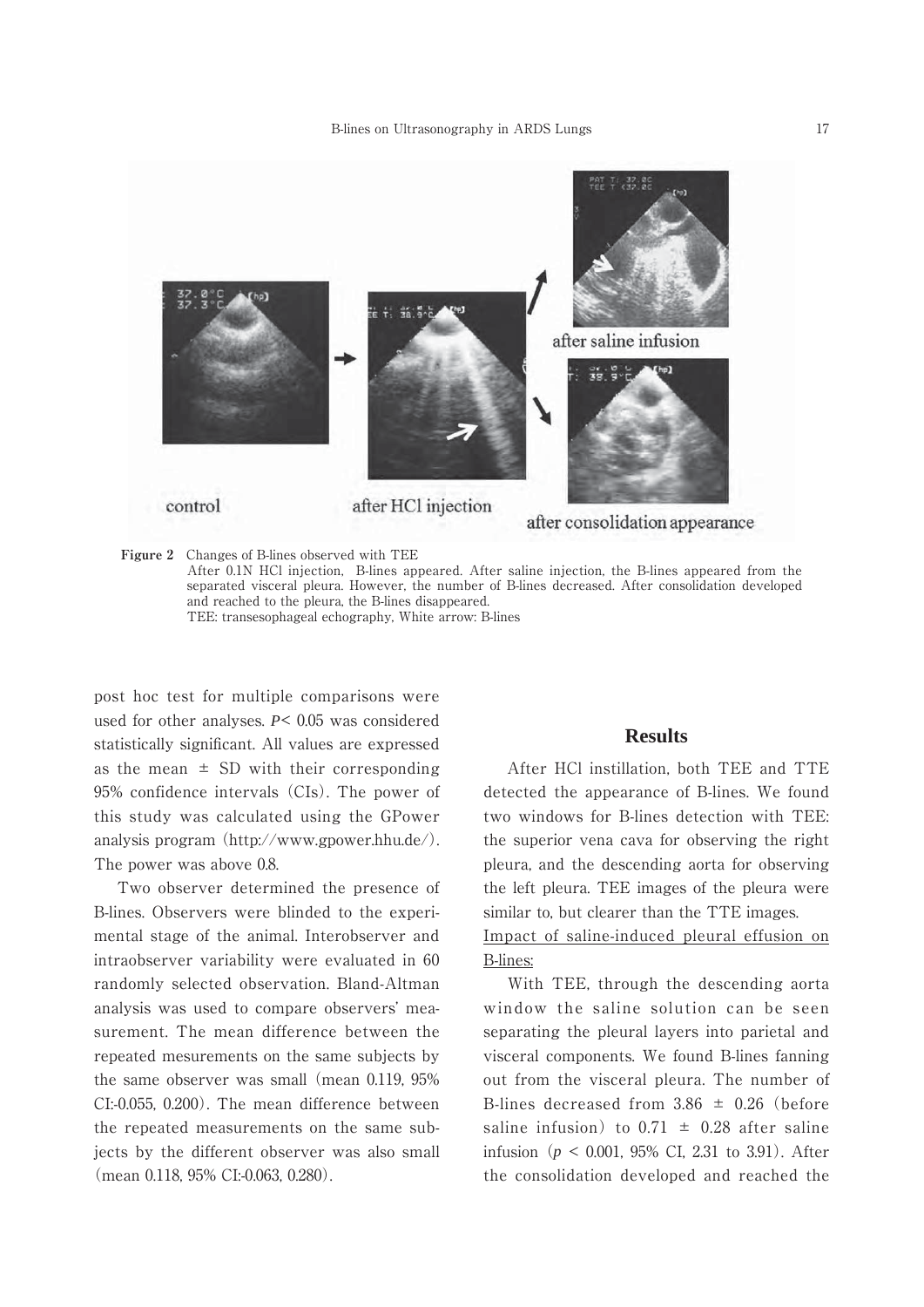

**Figure 2** Changes of B-lines observed with TEE

After 0.1N HCl injection, B-lines appeared. After saline injection, the B-lines appeared from the separated visceral pleura. However, the number of B-lines decreased. After consolidation developed and reached to the pleura, the B-lines disappeared. TEE: transesophageal echography, White arrow: B-lines

post hoc test for multiple comparisons were used for other analyses. *P*< 0.05 was considered statistically significant. All values are expressed as the mean  $\pm$  SD with their corresponding 95% confidence intervals (CIs). The power of this study was calculated using the GPower analysis program (http://www.gpower.hhu.de/). The power was above 0.8.

 Two observer determined the presence of B-lines. Observers were blinded to the experimental stage of the animal. Interobserver and intraobserver variability were evaluated in 60 randomly selected observation. Bland-Altman analysis was used to compare observers' measurement. The mean difference between the repeated mesurements on the same subjects by the same observer was small (mean 0.119, 95% CI:-0.055, 0.200). The mean difference between the repeated measurements on the same subjects by the different observer was also small (mean 0.118, 95% CI:-0.063, 0.280).

#### **Results**

 After HCl instillation, both TEE and TTE detected the appearance of B-lines. We found two windows for B-lines detection with TEE: the superior vena cava for observing the right pleura, and the descending aorta for observing the left pleura. TEE images of the pleura were similar to, but clearer than the TTE images.

Impact of saline-induced pleural effusion on B-lines:

 With TEE, through the descending aorta window the saline solution can be seen separating the pleural layers into parietal and visceral components. We found B-lines fanning out from the visceral pleura. The number of B-lines decreased from  $3.86 \pm 0.26$  (before saline infusion) to  $0.71 \pm 0.28$  after saline infusion (*p* < 0.001, 95% CI, 2.31 to 3.91). After the consolidation developed and reached the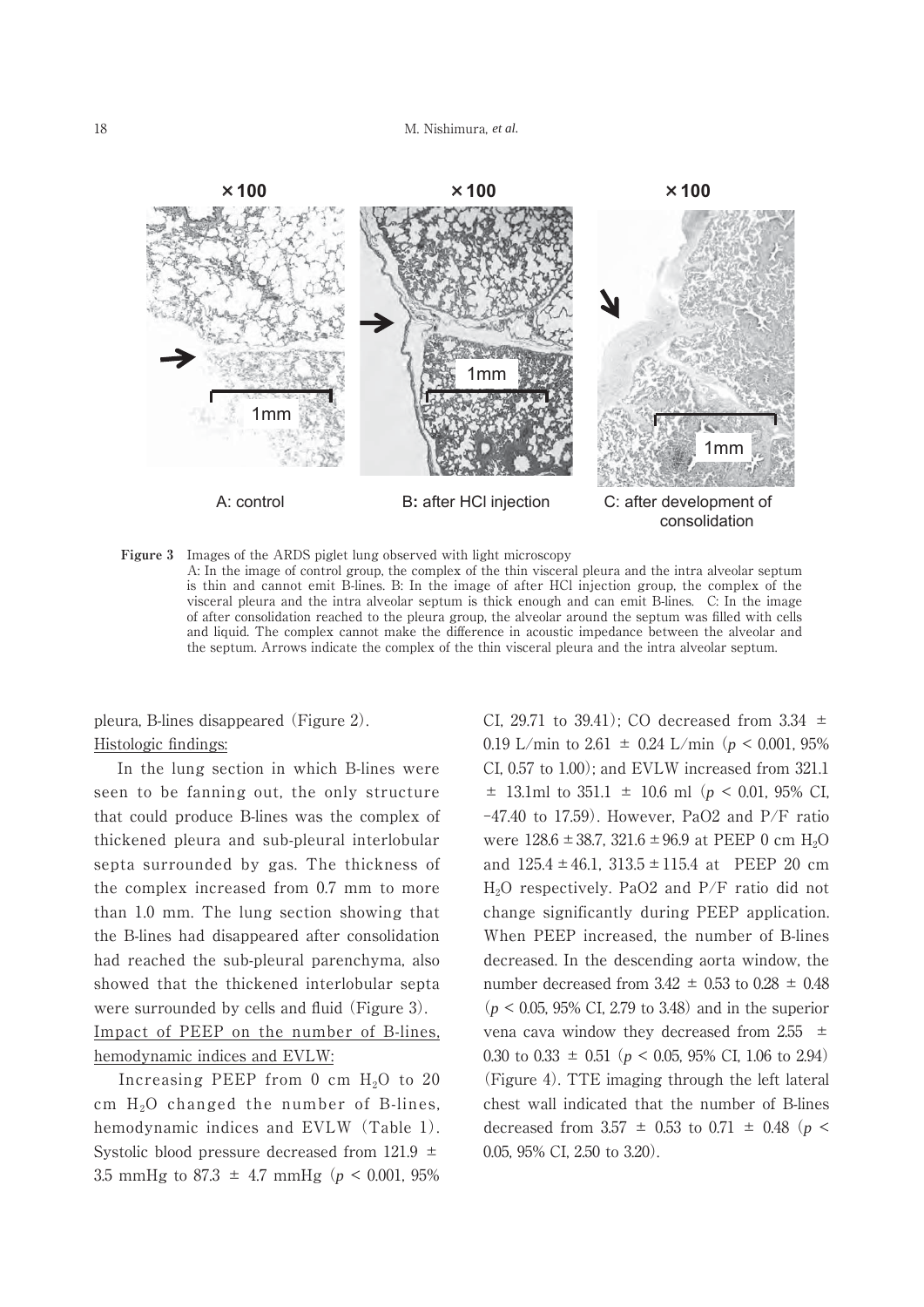

**Figure 3**  Images of the ARDS piglet lung observed with light microscopy A: In the image of control group, the complex of the thin visceral pleura and the intra alveolar septum is thin and cannot emit B-lines. B: In the image of after HCl injection group, the complex of the visceral pleura and the intra alveolar septum is thick enough and can emit B-lines. C: In the image of after consolidation reached to the pleura group, the alveolar around the septum was filled with cells and liquid. The complex cannot make the difference in acoustic impedance between the alveolar and the septum. Arrows indicate the complex of the thin visceral pleura and the intra alveolar septum.

pleura, B-lines disappeared (Figure 2). Histologic findings:

 In the lung section in which B-lines were seen to be fanning out, the only structure that could produce B-lines was the complex of thickened pleura and sub-pleural interlobular septa surrounded by gas. The thickness of the complex increased from 0.7 mm to more than 1.0 mm. The lung section showing that the B-lines had disappeared after consolidation had reached the sub-pleural parenchyma, also showed that the thickened interlobular septa were surrounded by cells and fluid (Figure 3). Impact of PEEP on the number of B-lines, hemodynamic indices and EVLW:

Increasing PEEP from 0 cm  $H_2O$  to 20 cm  $H<sub>2</sub>O$  changed the number of B-lines, hemodynamic indices and EVLW (Table 1). Systolic blood pressure decreased from  $121.9 \pm 121.9$ 3.5 mmHg to 87.3  $\pm$  4.7 mmHg ( $p < 0.001$ , 95%)

CI, 29.71 to 39.41); CO decreased from 3.34  $\pm$ 0.19 L/min to 2.61  $\pm$  0.24 L/min ( $p < 0.001$ , 95%) CI, 0.57 to 1.00); and EVLW increased from 321.1  $\pm$  13.1ml to 351.1  $\pm$  10.6 ml ( $p < 0.01$ , 95% CI,  $-47.40$  to 17.59). However, PaO2 and P/F ratio were  $128.6 \pm 38.7$ ,  $321.6 \pm 96.9$  at PEEP 0 cm H<sub>2</sub>O and  $125.4 \pm 46.1$ ,  $313.5 \pm 115.4$  at PEEP 20 cm H2O respectively. PaO2 and P/F ratio did not change significantly during PEEP application. When PEEP increased, the number of B-lines decreased. In the descending aorta window, the number decreased from  $3.42 \pm 0.53$  to  $0.28 \pm 0.48$ (*p* < 0.05, 95% CI, 2.79 to 3.48) and in the superior vena cava window they decreased from  $2.55 \pm 1$ 0.30 to 0.33  $\pm$  0.51 ( $p < 0.05$ , 95% CI, 1.06 to 2.94) (Figure 4). TTE imaging through the left lateral chest wall indicated that the number of B-lines decreased from 3.57  $\pm$  0.53 to 0.71  $\pm$  0.48 (*p* < 0.05, 95% CI, 2.50 to 3.20).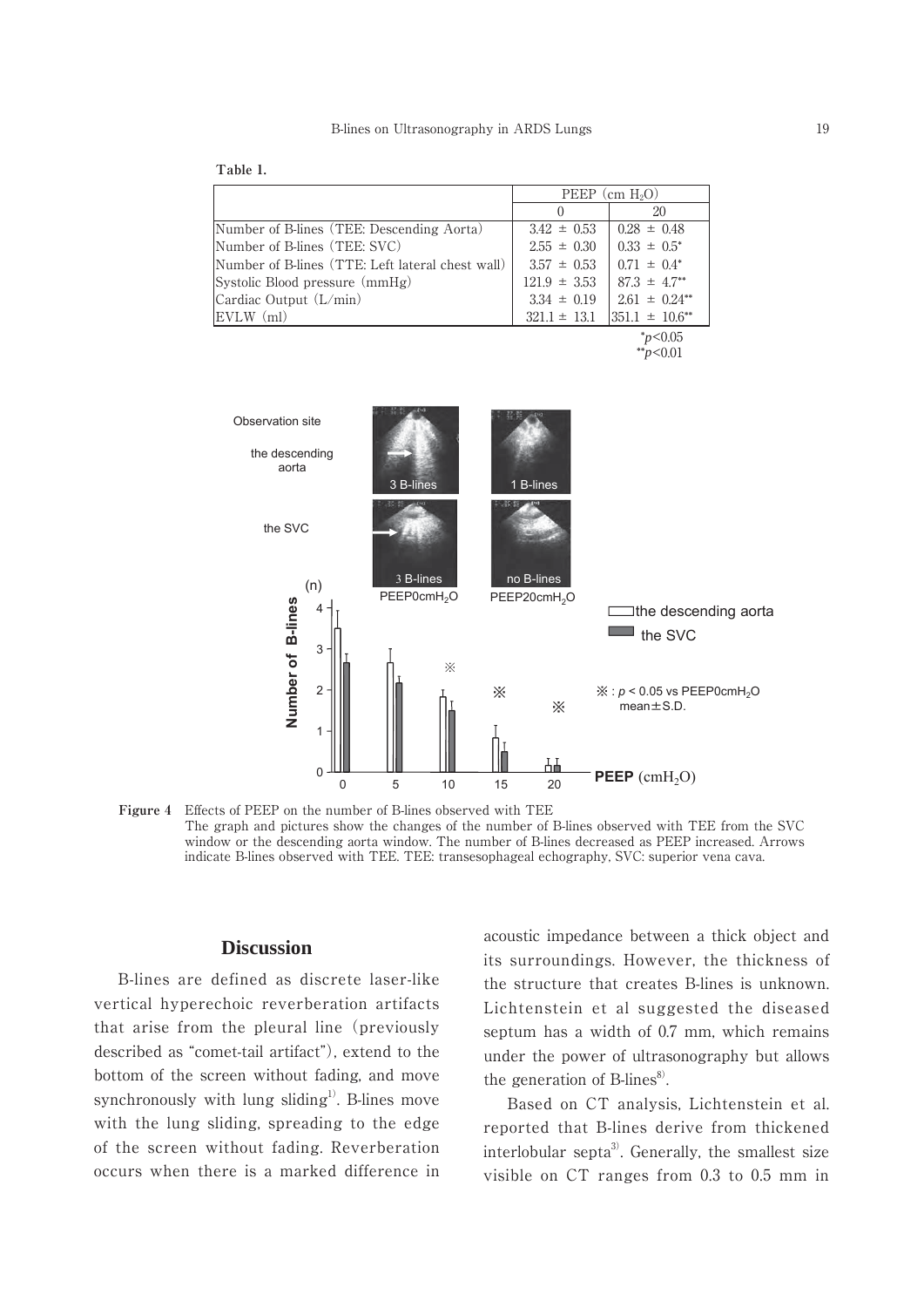| L.<br>۰, |  |
|----------|--|
|          |  |

|                                                  | PEEP (cm $H_2O$ ) |                              |
|--------------------------------------------------|-------------------|------------------------------|
|                                                  | $\left( \right)$  | 20                           |
| Number of B-lines (TEE: Descending Aorta)        | $3.42 \pm 0.53$   | $0.28 \pm 0.48$              |
| Number of B-lines (TEE: SVC)                     | $2.55 \pm 0.30$   | $0.33 \pm 0.5^*$             |
| Number of B-lines (TTE: Left lateral chest wall) | $3.57 \pm 0.53$   | $0.71 \pm 0.4^*$             |
| Systolic Blood pressure (mmHg)                   | $121.9 \pm 3.53$  | $87.3 \pm 4.7$ <sup>**</sup> |
| Cardiac Output (L/min)                           | $3.34 \pm 0.19$   | $2.61 \pm 0.24$ **           |
| $EVALW$ (ml)                                     | $321.1 \pm 13.1$  | $351.1 \pm 10.6$ **          |
|                                                  |                   |                              |

\**p*<0.05 \*\**p*<0.01



**Figure 4**  Effects of PEEP on the number of B-lines observed with TEE The graph and pictures show the changes of the number of B-lines observed with TEE from the SVC window or the descending aorta window. The number of B-lines decreased as PEEP increased. Arrows indicate B-lines observed with TEE. TEE: transesophageal echography, SVC: superior vena cava.

# **Discussion**

 B-lines are defined as discrete laser-like vertical hyperechoic reverberation artifacts that arise from the pleural line (previously described as "comet-tail artifact"), extend to the bottom of the screen without fading, and move synchronously with lung sliding<sup>1)</sup>. B-lines move with the lung sliding, spreading to the edge of the screen without fading. Reverberation occurs when there is a marked difference in acoustic impedance between a thick object and its surroundings. However, the thickness of the structure that creates B-lines is unknown. Lichtenstein et al suggested the diseased septum has a width of 0.7 mm, which remains under the power of ultrasonography but allows the generation of B-lines $\delta$ .

 Based on CT analysis, Lichtenstein et al. reported that B-lines derive from thickened interlobular septa<sup>3</sup>. Generally, the smallest size visible on CT ranges from 0.3 to 0.5 mm in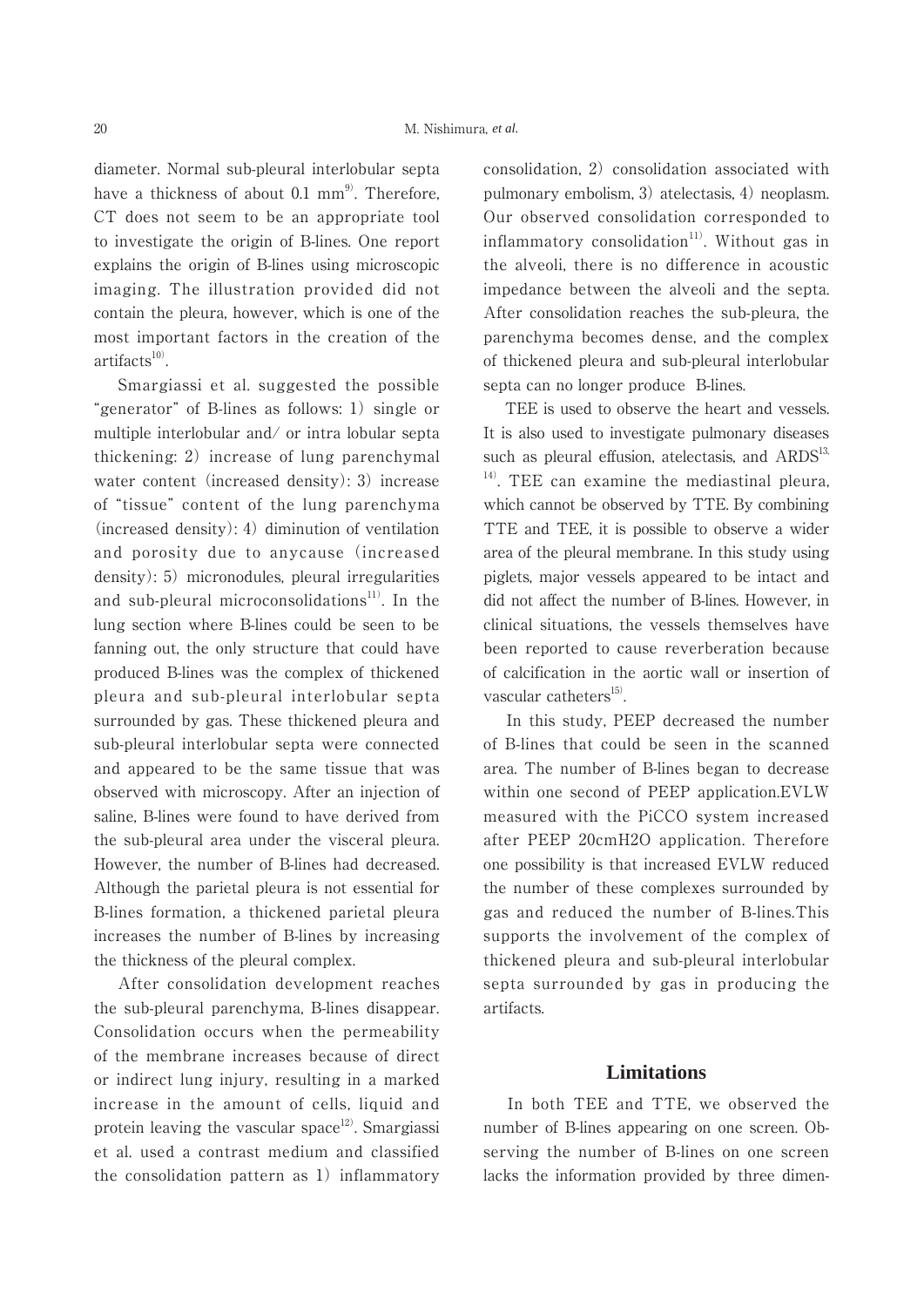diameter. Normal sub-pleural interlobular septa have a thickness of about 0.1  $mm<sup>9</sup>$ . Therefore, CT does not seem to be an appropriate tool to investigate the origin of B-lines. One report explains the origin of B-lines using microscopic imaging. The illustration provided did not contain the pleura, however, which is one of the most important factors in the creation of the  $artifacts<sup>10</sup>$ .

 Smargiassi et al. suggested the possible "generator" of B-lines as follows: 1) single or multiple interlobular and/ or intra lobular septa thickening: 2) increase of lung parenchymal water content (increased density): 3) increase of "tissue" content of the lung parenchyma (increased density): 4) diminution of ventilation and porosity due to anycause (increased density): 5) micronodules, pleural irregularities and sub-pleural microconsolidations<sup>11)</sup>. In the lung section where B-lines could be seen to be fanning out, the only structure that could have produced B-lines was the complex of thickened pleura and sub-pleural interlobular septa surrounded by gas. These thickened pleura and sub-pleural interlobular septa were connected and appeared to be the same tissue that was observed with microscopy. After an injection of saline, B-lines were found to have derived from the sub-pleural area under the visceral pleura. However, the number of B-lines had decreased. Although the parietal pleura is not essential for B-lines formation, a thickened parietal pleura increases the number of B-lines by increasing the thickness of the pleural complex.

 After consolidation development reaches the sub-pleural parenchyma, B-lines disappear. Consolidation occurs when the permeability of the membrane increases because of direct or indirect lung injury, resulting in a marked increase in the amount of cells, liquid and protein leaving the vascular space<sup>12)</sup>. Smargiassi et al. used a contrast medium and classified the consolidation pattern as 1) inflammatory consolidation, 2) consolidation associated with pulmonary embolism, 3) atelectasis, 4) neoplasm. Our observed consolidation corresponded to inflammatory consolidation<sup>11)</sup>. Without gas in the alveoli, there is no difference in acoustic impedance between the alveoli and the septa. After consolidation reaches the sub-pleura, the parenchyma becomes dense, and the complex of thickened pleura and sub-pleural interlobular septa can no longer produce B-lines.

 TEE is used to observe the heart and vessels. It is also used to investigate pulmonary diseases such as pleural effusion, atelectasis, and  $ARDS<sup>13</sup>$ , <sup>14)</sup>. TEE can examine the mediastinal pleura, which cannot be observed by TTE. By combining TTE and TEE, it is possible to observe a wider area of the pleural membrane. In this study using piglets, major vessels appeared to be intact and did not affect the number of B-lines. However, in clinical situations, the vessels themselves have been reported to cause reverberation because of calcification in the aortic wall or insertion of vascular catheters $^{15)}$ .

 In this study, PEEP decreased the number of B-lines that could be seen in the scanned area. The number of B-lines began to decrease within one second of PEEP application.EVLW measured with the PiCCO system increased after PEEP 20cmH2O application. Therefore one possibility is that increased EVLW reduced the number of these complexes surrounded by gas and reduced the number of B-lines.This supports the involvement of the complex of thickened pleura and sub-pleural interlobular septa surrounded by gas in producing the artifacts.

### **Limitations**

 In both TEE and TTE, we observed the number of B-lines appearing on one screen. Observing the number of B-lines on one screen lacks the information provided by three dimen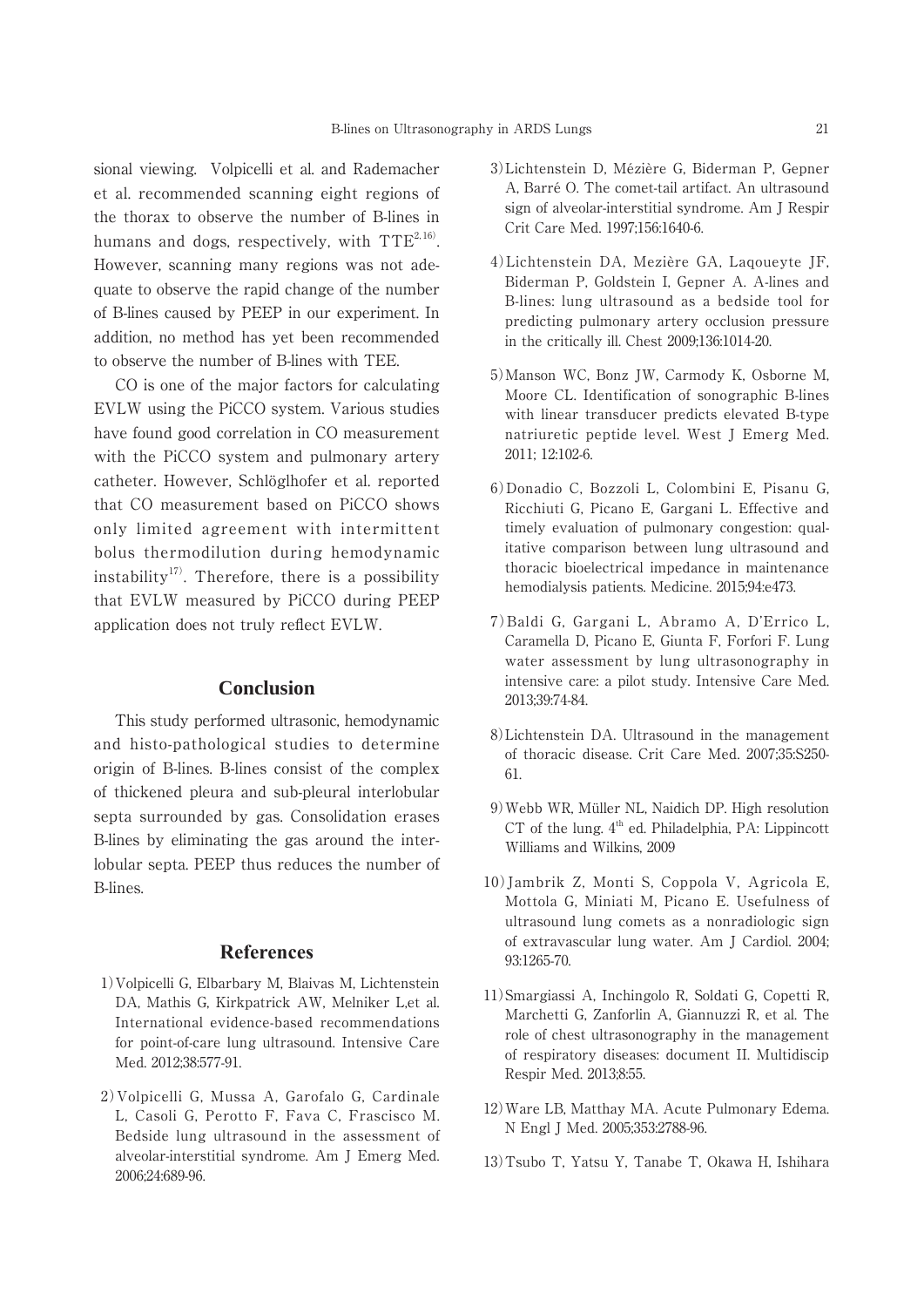sional viewing. Volpicelli et al. and Rademacher et al. recommended scanning eight regions of the thorax to observe the number of B-lines in humans and dogs, respectively, with  $TTE^{2,16}$ . However, scanning many regions was not adequate to observe the rapid change of the number of B-lines caused by PEEP in our experiment. In addition, no method has yet been recommended to observe the number of B-lines with TEE.

 CO is one of the major factors for calculating EVLW using the PiCCO system. Various studies have found good correlation in CO measurement with the PiCCO system and pulmonary artery catheter. However, Schlöglhofer et al. reported that CO measurement based on PiCCO shows only limited agreement with intermittent bolus thermodilution during hemodynamic instability<sup>17)</sup>. Therefore, there is a possibility that EVLW measured by PiCCO during PEEP application does not truly reflect EVLW.

### **Conclusion**

 This study performed ultrasonic, hemodynamic and histo-pathological studies to determine origin of B-lines. B-lines consist of the complex of thickened pleura and sub-pleural interlobular septa surrounded by gas. Consolidation erases B-lines by eliminating the gas around the interlobular septa. PEEP thus reduces the number of B-lines.

### **References**

- 1)Volpicelli G, Elbarbary M, Blaivas M, Lichtenstein DA, Mathis G, Kirkpatrick AW, Melniker L,et al. International evidence-based recommendations for point-of-care lung ultrasound. Intensive Care Med. 2012;38:577-91.
- 2)Volpicelli G, Mussa A, Garofalo G, Cardinale L, Casoli G, Perotto F, Fava C, Frascisco M. Bedside lung ultrasound in the assessment of alveolar-interstitial syndrome. Am J Emerg Med. 2006;24:689-96.
- 3)Lichtenstein D, Mézière G, Biderman P, Gepner A, Barré O. The comet-tail artifact. An ultrasound sign of alveolar-interstitial syndrome. Am J Respir Crit Care Med. 1997;156:1640-6.
- 4)Lichtenstein DA, Mezière GA, Laqoueyte JF, Biderman P, Goldstein I, Gepner A. A-lines and B-lines: lung ultrasound as a bedside tool for predicting pulmonary artery occlusion pressure in the critically ill. Chest 2009;136:1014-20.
- 5)Manson WC, Bonz JW, Carmody K, Osborne M, Moore CL. Identification of sonographic B-lines with linear transducer predicts elevated B-type natriuretic peptide level. West J Emerg Med. 2011; 12:102-6.
- 6)Donadio C, Bozzoli L, Colombini E, Pisanu G, Ricchiuti G, Picano E, Gargani L. Effective and timely evaluation of pulmonary congestion: qualitative comparison between lung ultrasound and thoracic bioelectrical impedance in maintenance hemodialysis patients. Medicine. 2015;94:e473.
- 7)Baldi G, Gargani L, Abramo A, D'Errico L, Caramella D, Picano E, Giunta F, Forfori F. Lung water assessment by lung ultrasonography in intensive care: a pilot study. Intensive Care Med. 2013;39:74-84.
- 8)Lichtenstein DA. Ultrasound in the management of thoracic disease. Crit Care Med. 2007;35:S250- 61.
- 9)Webb WR, Müller NL, Naidich DP. High resolution  $CT$  of the lung.  $4<sup>th</sup>$  ed. Philadelphia, PA: Lippincott Williams and Wilkins, 2009
- 10)Jambrik Z, Monti S, Coppola V, Agricola E, Mottola G, Miniati M, Picano E. Usefulness of ultrasound lung comets as a nonradiologic sign of extravascular lung water. Am J Cardiol. 2004; 93:1265-70.
- 11)Smargiassi A, Inchingolo R, Soldati G, Copetti R, Marchetti G, Zanforlin A, Giannuzzi R, et al. The role of chest ultrasonography in the management of respiratory diseases: document II. Multidiscip Respir Med. 2013;8:55.
- 12)Ware LB, Matthay MA. Acute Pulmonary Edema. N Engl J Med. 2005;353:2788-96.
- 13)Tsubo T, Yatsu Y, Tanabe T, Okawa H, Ishihara